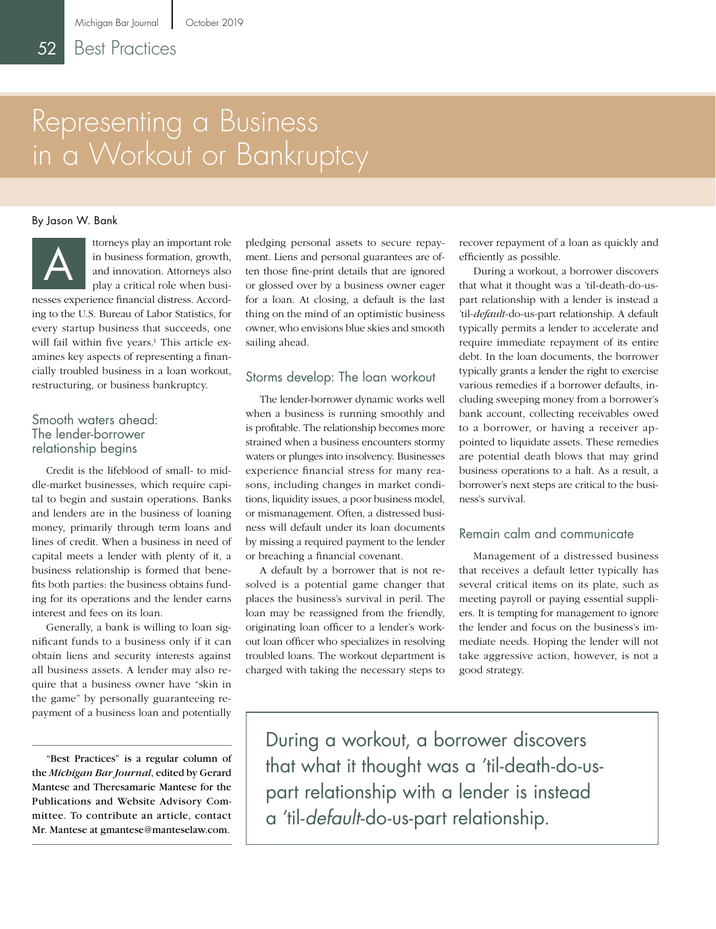# Representing a Business in a Workout or Bankruptcy

#### By Jason W. Bank



ttorneys play an important role in business formation, growth, and innovation. Attorneys also play a critical role when busi-

nesses experience financial distress. According to the U.S. Bureau of Labor Statistics, for every startup business that succeeds, one will fail within five years.<sup>1</sup> This article examines key aspects of representing a financially troubled business in a loan workout, restructuring, or business bankruptcy.

#### Smooth waters ahead: The lender-borrower relationship begins

Credit is the lifeblood of small- to middle-market businesses, which require capital to begin and sustain operations. Banks and lenders are in the business of loaning money, primarily through term loans and lines of credit. When a business in need of capital meets a lender with plenty of it, a business relationship is formed that benefits both parties: the business obtains funding for its operations and the lender earns interest and fees on its loan.

Generally, a bank is willing to loan significant funds to a business only if it can obtain liens and security interests against all business assets. A lender may also require that a business owner have "skin in the game" by personally guaranteeing repayment of a business loan and potentially

"Best Practices" is a regular column of the *Michigan Bar Journal*, edited by Gerard Mantese and Theresamarie Mantese for the Publications and Website Advisory Committee. To contribute an article, contact Mr. Mantese at gmantese@manteselaw.com.

pledging personal assets to secure repayment. Liens and personal guarantees are often those fine-print details that are ignored or glossed over by a business owner eager for a loan. At closing, a default is the last thing on the mind of an optimistic business owner, who envisions blue skies and smooth sailing ahead.

#### Storms develop: The loan workout

The lender-borrower dynamic works well when a business is running smoothly and is profitable. The relationship becomes more strained when a business encounters stormy waters or plunges into insolvency. Businesses experience financial stress for many reasons, including changes in market conditions, liquidity issues, a poor business model, or mismanagement. Often, a distressed business will default under its loan documents by missing a required payment to the lender or breaching a financial covenant.

A default by a borrower that is not resolved is a potential game changer that places the business's survival in peril. The loan may be reassigned from the friendly, originating loan officer to a lender's workout loan officer who specializes in resolving troubled loans. The workout department is charged with taking the necessary steps to

recover repayment of a loan as quickly and efficiently as possible.

During a workout, a borrower discovers that what it thought was a 'til-death-do-uspart relationship with a lender is instead a 'til-*default*-do-us-part relationship. A default typically permits a lender to accelerate and require immediate repayment of its entire debt. In the loan documents, the borrower typically grants a lender the right to exercise various remedies if a borrower defaults, including sweeping money from a borrower's bank account, collecting receivables owed to a borrower, or having a receiver appointed to liquidate assets. These remedies are potential death blows that may grind business operations to a halt. As a result, a borrower's next steps are critical to the business's survival.

#### Remain calm and communicate

Management of a distressed business that receives a default letter typically has several critical items on its plate, such as meeting payroll or paying essential suppliers. It is tempting for management to ignore the lender and focus on the business's immediate needs. Hoping the lender will not take aggressive action, however, is not a good strategy.

During a workout, a borrower discovers that what it thought was a 'til-death-do-uspart relationship with a lender is instead a 'til-*default*-do-us-part relationship.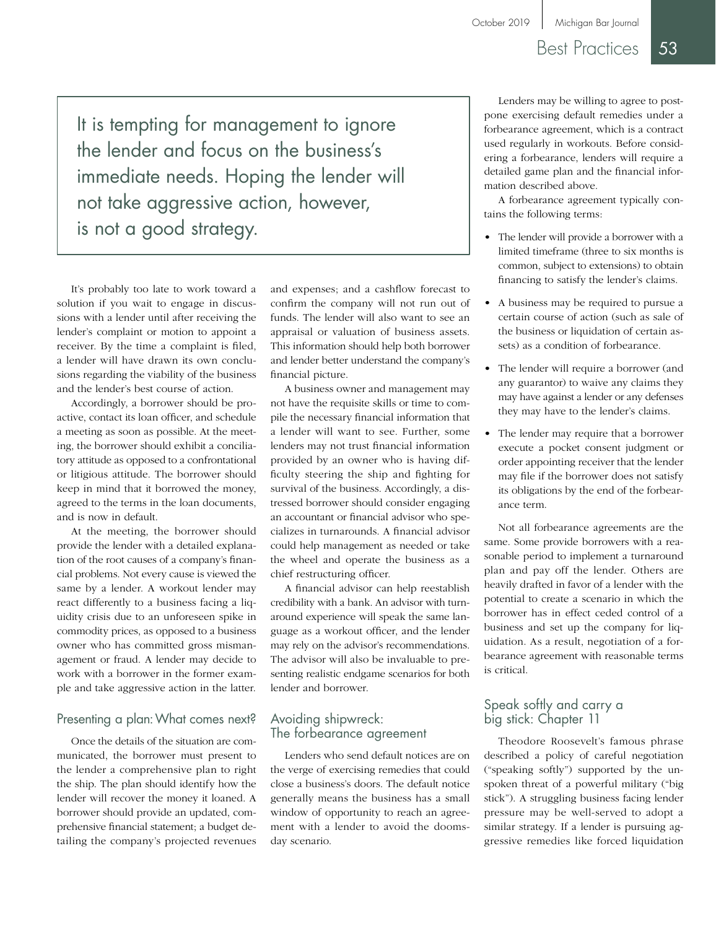### Best Practices 53

It is tempting for management to ignore the lender and focus on the business's immediate needs. Hoping the lender will not take aggressive action, however, is not a good strategy.

It's probably too late to work toward a solution if you wait to engage in discussions with a lender until after receiving the lender's complaint or motion to appoint a receiver. By the time a complaint is filed, a lender will have drawn its own conclusions regarding the viability of the business and the lender's best course of action.

Accordingly, a borrower should be proactive, contact its loan officer, and schedule a meeting as soon as possible. At the meeting, the borrower should exhibit a conciliatory attitude as opposed to a confrontational or litigious attitude. The borrower should keep in mind that it borrowed the money, agreed to the terms in the loan documents, and is now in default.

At the meeting, the borrower should provide the lender with a detailed explanation of the root causes of a company's financial problems. Not every cause is viewed the same by a lender. A workout lender may react differently to a business facing a liquidity crisis due to an unforeseen spike in commodity prices, as opposed to a business owner who has committed gross mismanagement or fraud. A lender may decide to work with a borrower in the former example and take aggressive action in the latter.

#### Presenting a plan: What comes next?

Once the details of the situation are communicated, the borrower must present to the lender a comprehensive plan to right the ship. The plan should identify how the lender will recover the money it loaned. A borrower should provide an updated, comprehensive financial statement; a budget detailing the company's projected revenues and expenses; and a cashflow forecast to confirm the company will not run out of funds. The lender will also want to see an appraisal or valuation of business assets. This information should help both borrower and lender better understand the company's financial picture.

A business owner and management may not have the requisite skills or time to compile the necessary financial information that a lender will want to see. Further, some lenders may not trust financial information provided by an owner who is having difficulty steering the ship and fighting for survival of the business. Accordingly, a distressed borrower should consider engaging an accountant or financial advisor who specializes in turnarounds. A financial advisor could help management as needed or take the wheel and operate the business as a chief restructuring officer.

A financial advisor can help reestablish credibility with a bank. An advisor with turnaround experience will speak the same language as a workout officer, and the lender may rely on the advisor's recommendations. The advisor will also be invaluable to presenting realistic endgame scenarios for both lender and borrower.

#### Avoiding shipwreck: The forbearance agreement

Lenders who send default notices are on the verge of exercising remedies that could close a business's doors. The default notice generally means the business has a small window of opportunity to reach an agreement with a lender to avoid the doomsday scenario.

Lenders may be willing to agree to postpone exercising default remedies under a forbearance agreement, which is a contract used regularly in workouts. Before considering a forbearance, lenders will require a detailed game plan and the financial information described above.

A forbearance agreement typically contains the following terms:

- The lender will provide a borrower with a limited timeframe (three to six months is common, subject to extensions) to obtain financing to satisfy the lender's claims.
- A business may be required to pursue a certain course of action (such as sale of the business or liquidation of certain assets) as a condition of forbearance.
- The lender will require a borrower (and any guarantor) to waive any claims they may have against a lender or any defenses they may have to the lender's claims.
- The lender may require that a borrower execute a pocket consent judgment or order appointing receiver that the lender may file if the borrower does not satisfy its obligations by the end of the forbearance term.

Not all forbearance agreements are the same. Some provide borrowers with a reasonable period to implement a turnaround plan and pay off the lender. Others are heavily drafted in favor of a lender with the potential to create a scenario in which the borrower has in effect ceded control of a business and set up the company for liquidation. As a result, negotiation of a forbearance agreement with reasonable terms is critical.

#### Speak softly and carry a big stick: Chapter 11

Theodore Roosevelt's famous phrase described a policy of careful negotiation ("speaking softly") supported by the unspoken threat of a powerful military ("big stick"). A struggling business facing lender pressure may be well-served to adopt a similar strategy. If a lender is pursuing aggressive remedies like forced liquidation